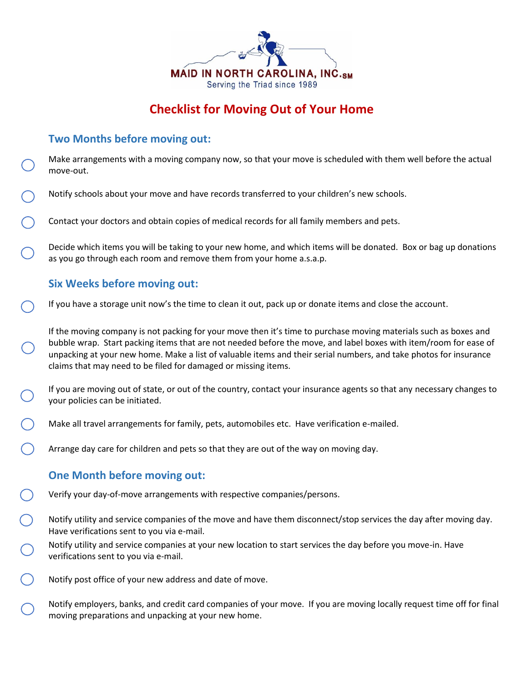

# **Checklist for Moving Out of Your Home**

# **Two Months before moving out:**

Make arrangements with a moving company now, so that your move is scheduled with them well before the actual move-out.

- Notify schools about your move and have records transferred to your children's new schools.
- Contact your doctors and obtain copies of medical records for all family members and pets.

Decide which items you will be taking to your new home, and which items will be donated. Box or bag up donations as you go through each room and remove them from your home a.s.a.p.

# **Six Weeks before moving out:**

If you have a storage unit now's the time to clean it out, pack up or donate items and close the account.

If the moving company is not packing for your move then it's time to purchase moving materials such as boxes and bubble wrap. Start packing items that are not needed before the move, and label boxes with item/room for ease of unpacking at your new home. Make a list of valuable items and their serial numbers, and take photos for insurance claims that may need to be filed for damaged or missing items.

If you are moving out of state, or out of the country, contact your insurance agents so that any necessary changes to your policies can be initiated.

- Make all travel arrangements for family, pets, automobiles etc. Have verification e-mailed.
- Arrange day care for children and pets so that they are out of the way on moving day.

## **One Month before moving out:**

- Verify your day-of-move arrangements with respective companies/persons.
- Notify utility and service companies of the move and have them disconnect/stop services the day after moving day. Have verifications sent to you via e-mail.
- Notify utility and service companies at your new location to start services the day before you move-in. Have verifications sent to you via e-mail.
- Notify post office of your new address and date of move.

Notify employers, banks, and credit card companies of your move. If you are moving locally request time off for final moving preparations and unpacking at your new home.